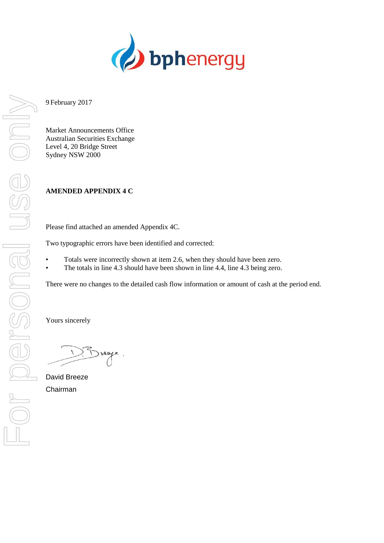

9 February 2017

Market Announcements Office Australian Securities Exchange Level 4, 20 Bridge Street Sydney NSW 2000

# **AMENDED APPENDIX 4 C**

Please find attached an amended Appendix 4C.

Two typographic errors have been identified and corrected:

- Totals were incorrectly shown at item 2.6, when they should have been zero.
- The totals in line 4.3 should have been shown in line 4.4, line 4.3 being zero.

There were no changes to the detailed cash flow information or amount of cash at the period end.

Yours sincerely

Drege

David Breeze Chairman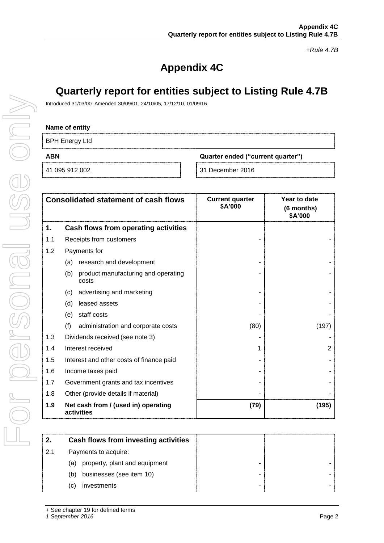*+Rule 4.7B*

# **Appendix 4C**

# **Quarterly report for entities subject to Listing Rule 4.7B**

Introduced 31/03/00 Amended 30/09/01, 24/10/05, 17/12/10, 01/09/16

### **Name of entity**

BPH Energy Ltd

**ABN Quarter ended ("current quarter")**

41 095 912 002 31 December 2016

|     | <b>Consolidated statement of cash flows</b>         | <b>Current quarter</b><br>\$A'000 | Year to date<br>(6 months)<br>\$A'000 |
|-----|-----------------------------------------------------|-----------------------------------|---------------------------------------|
| 1.  | Cash flows from operating activities                |                                   |                                       |
| 1.1 | Receipts from customers                             |                                   |                                       |
| 1.2 | Payments for                                        |                                   |                                       |
|     | research and development<br>(a)                     |                                   |                                       |
|     | product manufacturing and operating<br>(b)<br>costs |                                   |                                       |
|     | advertising and marketing<br>(c)                    |                                   |                                       |
|     | leased assets<br>(d)                                |                                   |                                       |
|     | staff costs<br>(e)                                  |                                   |                                       |
|     | (f)<br>administration and corporate costs           | (80)                              | (197)                                 |
| 1.3 | Dividends received (see note 3)                     |                                   |                                       |
| 1.4 | Interest received                                   |                                   | 2                                     |
| 1.5 | Interest and other costs of finance paid            |                                   |                                       |
| 1.6 | Income taxes paid                                   |                                   |                                       |
| 1.7 | Government grants and tax incentives                |                                   |                                       |
| 1.8 | Other (provide details if material)                 |                                   |                                       |
| 1.9 | Net cash from / (used in) operating<br>activities   | (79)                              | (195)                                 |

| 2.  | Cash flows from investing activities |   |  |
|-----|--------------------------------------|---|--|
| 2.1 | Payments to acquire:                 |   |  |
|     | property, plant and equipment<br>(a) |   |  |
|     | businesses (see item 10)<br>(b)      | - |  |
|     | investments<br>(C)                   |   |  |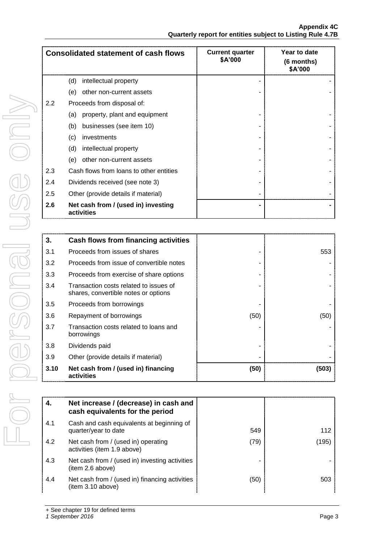| <b>Consolidated statement of cash flows</b> |                                                   | <b>Current quarter</b><br>\$A'000 | Year to date<br>(6 months)<br>\$A'000 |
|---------------------------------------------|---------------------------------------------------|-----------------------------------|---------------------------------------|
|                                             | (d)<br>intellectual property                      |                                   |                                       |
|                                             | other non-current assets<br>(e)                   |                                   |                                       |
| 2.2                                         | Proceeds from disposal of:                        |                                   |                                       |
|                                             | property, plant and equipment<br>(a)              |                                   |                                       |
|                                             | businesses (see item 10)<br>(b)                   |                                   |                                       |
|                                             | (c)<br>investments                                |                                   |                                       |
|                                             | (d)<br>intellectual property                      |                                   |                                       |
|                                             | other non-current assets<br>(e)                   |                                   |                                       |
| 2.3                                         | Cash flows from loans to other entities           |                                   |                                       |
| 2.4                                         | Dividends received (see note 3)                   |                                   |                                       |
| 2.5                                         | Other (provide details if material)               |                                   |                                       |
| 2.6                                         | Net cash from / (used in) investing<br>activities |                                   |                                       |

| 3.   | Cash flows from financing activities                                           |      |       |
|------|--------------------------------------------------------------------------------|------|-------|
| 3.1  | Proceeds from issues of shares                                                 |      | 553   |
| 3.2  | Proceeds from issue of convertible notes                                       |      |       |
| 3.3  | Proceeds from exercise of share options                                        |      |       |
| 3.4  | Transaction costs related to issues of<br>shares, convertible notes or options |      |       |
| 3.5  | Proceeds from borrowings                                                       |      |       |
| 3.6  | Repayment of borrowings                                                        | (50) | (50)  |
| 3.7  | Transaction costs related to loans and<br>borrowings                           |      |       |
| 3.8  | Dividends paid                                                                 |      |       |
| 3.9  | Other (provide details if material)                                            |      |       |
| 3.10 | Net cash from / (used in) financing<br>activities                              | (50) | (503) |

| 4.  | Net increase / (decrease) in cash and<br>cash equivalents for the period |      |       |
|-----|--------------------------------------------------------------------------|------|-------|
| 4.1 | Cash and cash equivalents at beginning of<br>quarter/year to date        | 549  | 112   |
| 4.2 | Net cash from / (used in) operating<br>activities (item 1.9 above)       | (79) | (195) |
| 4.3 | Net cash from / (used in) investing activities<br>(item 2.6 above)       |      |       |
| 4.4 | Net cash from / (used in) financing activities<br>(item 3.10 above)      | (50) | 503   |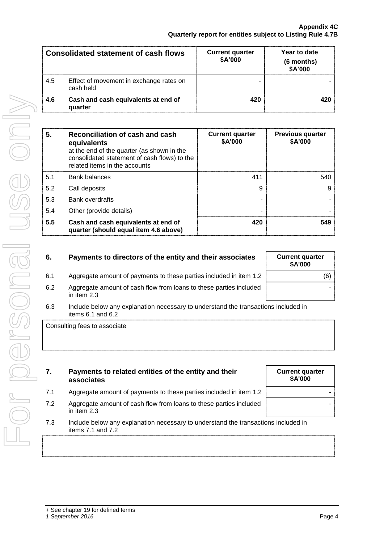| <b>Consolidated statement of cash flows</b> |                                                      | <b>Current quarter</b><br>\$A'000 | Year to date<br>(6 months)<br>\$A'000 |
|---------------------------------------------|------------------------------------------------------|-----------------------------------|---------------------------------------|
| 4.5                                         | Effect of movement in exchange rates on<br>cash held |                                   |                                       |
| 4.6                                         | Cash and cash equivalents at end of<br>quarter       | 420                               | 420                                   |

| 5.  | Reconciliation of cash and cash<br>equivalents<br>at the end of the quarter (as shown in the<br>consolidated statement of cash flows) to the<br>related items in the accounts | <b>Current quarter</b><br><b>\$A'000</b> | <b>Previous quarter</b><br>\$A'000 |
|-----|-------------------------------------------------------------------------------------------------------------------------------------------------------------------------------|------------------------------------------|------------------------------------|
| 5.1 | <b>Bank balances</b>                                                                                                                                                          | 411                                      | 540                                |
| 5.2 | Call deposits                                                                                                                                                                 |                                          |                                    |
| 5.3 | <b>Bank overdrafts</b>                                                                                                                                                        |                                          |                                    |
| 5.4 | Other (provide details)                                                                                                                                                       |                                          |                                    |
| 5.5 | Cash and cash equivalents at end of<br>quarter (should equal item 4.6 above)                                                                                                  | 420                                      | 549                                |

- **6.** Payments to directors of the entity and their associates
- 6.1 Aggregate amount of payments to these parties included in item 1.2 (6)
- 6.2 Aggregate amount of cash flow from loans to these parties included in item 2.3
- 6.3 Include below any explanation necessary to understand the transactions included in items 6.1 and 6.2

Consulting fees to associate

For personal use only

POI Dersonel

USG ONN

- **7. Payments to related entities of the entity and their associates**
- 7.1 Aggregate amount of payments to these parties included in item 1.2
- 7.2 Aggregate amount of cash flow from loans to these parties included in item 2.3
- 7.3 Include below any explanation necessary to understand the transactions included in items 7.1 and 7.2

| ayments to these pa<br>ash flow from loans t |
|----------------------------------------------|
| anation necessary to                         |
|                                              |
|                                              |
| l entities of the er                         |
| ayments to these pai                         |
| ash flow from loans t                        |
| anation necessarv to                         |

| <b>Current quarter</b><br>\$A'000 |  |
|-----------------------------------|--|
|                                   |  |
|                                   |  |
|                                   |  |

| <b>Current quarter</b><br>\$A'000 |
|-----------------------------------|
| (6)                               |
|                                   |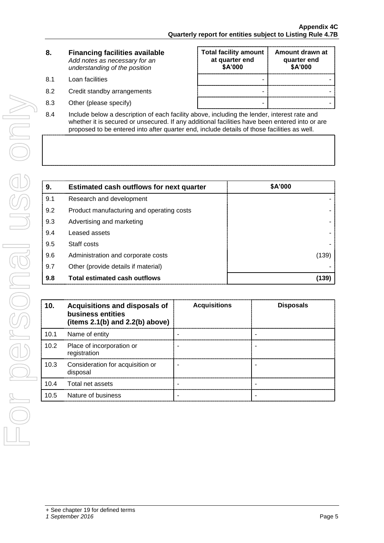| 8. | <b>Financing facilities available</b> |
|----|---------------------------------------|
|    | Add notes as necessary for an         |
|    | understanding of the position         |

- 
- 
- 8.3 Other (please specify) and the state of the state of the state of the state of the state of the state of the state of the state of the state of the state of the state of the state of the state of the state of the state
- **Total facility amount at quarter end \$A'000 Amount drawn at quarter end \$A'000** 8.1 Loan facilities **Access 19.1 Loan facilities** 8.2 Credit standby arrangements and the standard standard standard standard standard standard standard standard standard standard standard standard standard standard standard standard standard standard standard standard st
- 8.4 Include below a description of each facility above, including the lender, interest rate and whether it is secured or unsecured. If any additional facilities have been entered into or are proposed to be entered into after quarter end, include details of those facilities as well.

| 9.  | <b>Estimated cash outflows for next quarter</b> | \$A'000 |
|-----|-------------------------------------------------|---------|
| 9.1 | Research and development                        |         |
| 9.2 | Product manufacturing and operating costs       |         |
| 9.3 | Advertising and marketing                       |         |
| 9.4 | Leased assets                                   |         |
| 9.5 | Staff costs                                     |         |
| 9.6 | Administration and corporate costs              | (139)   |
| 9.7 | Other (provide details if material)             |         |
| 9.8 | <b>Total estimated cash outflows</b>            | (139)   |

| 10.  | Acquisitions and disposals of<br>business entities<br>(items $2.1(b)$ and $2.2(b)$ above) | <b>Acquisitions</b> | <b>Disposals</b> |
|------|-------------------------------------------------------------------------------------------|---------------------|------------------|
| 10.1 | Name of entity                                                                            |                     |                  |
| 10.2 | Place of incorporation or<br>registration                                                 |                     |                  |
| 10.3 | Consideration for acquisition or<br>disposal                                              |                     |                  |
| 10.4 | Total net assets                                                                          |                     |                  |
| 10.5 | Nature of business                                                                        |                     |                  |